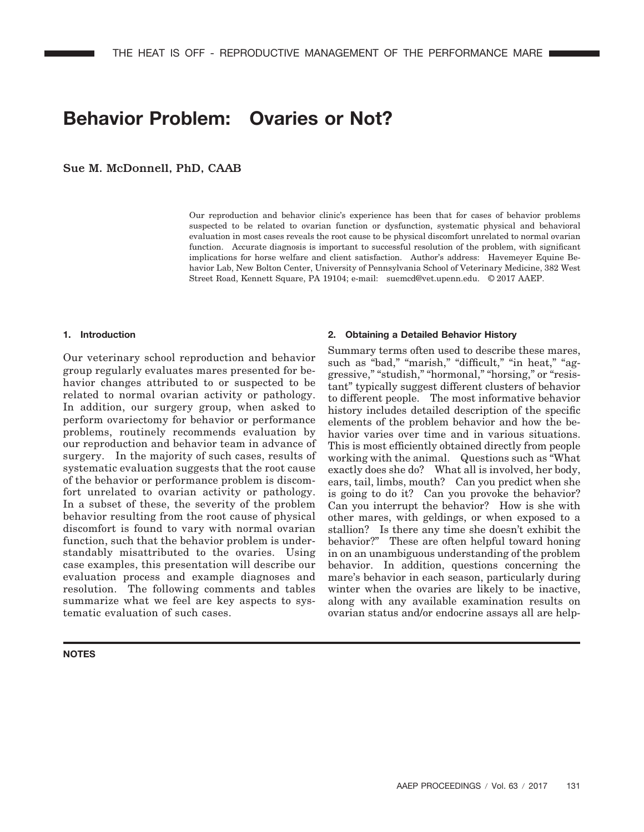# **Behavior Problem: Ovaries or Not?**

Sue M. McDonnell, PhD, CAAB

Our reproduction and behavior clinic's experience has been that for cases of behavior problems suspected to be related to ovarian function or dysfunction, systematic physical and behavioral evaluation in most cases reveals the root cause to be physical discomfort unrelated to normal ovarian function. Accurate diagnosis is important to successful resolution of the problem, with significant implications for horse welfare and client satisfaction. Author's address: Havemeyer Equine Behavior Lab, New Bolton Center, University of Pennsylvania School of Veterinary Medicine, 382 West Street Road, Kennett Square, PA 19104; e-mail: suemcd@vet.upenn.edu. © 2017 AAEP.

## **1. Introduction**

Our veterinary school reproduction and behavior group regularly evaluates mares presented for behavior changes attributed to or suspected to be related to normal ovarian activity or pathology. In addition, our surgery group, when asked to perform ovariectomy for behavior or performance problems, routinely recommends evaluation by our reproduction and behavior team in advance of surgery. In the majority of such cases, results of systematic evaluation suggests that the root cause of the behavior or performance problem is discomfort unrelated to ovarian activity or pathology. In a subset of these, the severity of the problem behavior resulting from the root cause of physical discomfort is found to vary with normal ovarian function, such that the behavior problem is understandably misattributed to the ovaries. Using case examples, this presentation will describe our evaluation process and example diagnoses and resolution. The following comments and tables summarize what we feel are key aspects to systematic evaluation of such cases.

# **NOTES**

#### **2. Obtaining a Detailed Behavior History**

Summary terms often used to describe these mares, such as "bad," "marish," "difficult," "in heat," "aggressive," "studish," "hormonal," "horsing," or "resistant" typically suggest different clusters of behavior to different people. The most informative behavior history includes detailed description of the specific elements of the problem behavior and how the behavior varies over time and in various situations. This is most efficiently obtained directly from people working with the animal. Questions such as "What exactly does she do? What all is involved, her body, ears, tail, limbs, mouth? Can you predict when she is going to do it? Can you provoke the behavior? Can you interrupt the behavior? How is she with other mares, with geldings, or when exposed to a stallion? Is there any time she doesn't exhibit the behavior?" These are often helpful toward honing in on an unambiguous understanding of the problem behavior. In addition, questions concerning the mare's behavior in each season, particularly during winter when the ovaries are likely to be inactive, along with any available examination results on ovarian status and/or endocrine assays all are help-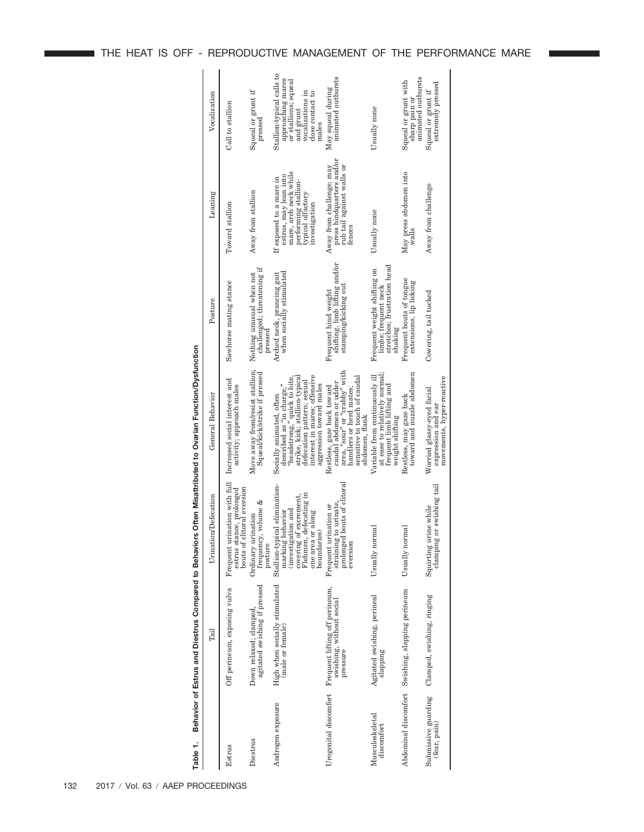| Table 1.                            |                                                                        |                                                                                                                                                                     | Behavior of Estrus and Diestrus Compared to Behaviors Often Misattributed to Ovarian Function/Dysfunction                                                                                                       |                                                                                               |                                                                                                                                         |                                                                                                                                      |
|-------------------------------------|------------------------------------------------------------------------|---------------------------------------------------------------------------------------------------------------------------------------------------------------------|-----------------------------------------------------------------------------------------------------------------------------------------------------------------------------------------------------------------|-----------------------------------------------------------------------------------------------|-----------------------------------------------------------------------------------------------------------------------------------------|--------------------------------------------------------------------------------------------------------------------------------------|
|                                     | Tail                                                                   | Urination/Defecation                                                                                                                                                | General Behavior                                                                                                                                                                                                | Posture                                                                                       | Leaning                                                                                                                                 | Vocalization                                                                                                                         |
| Estrus                              | Off perineum, exposing vulva                                           | Frequent urination with full<br>bouts of clitoral eversion<br>estrus stance, prolonged                                                                              | Increased social interest and<br>activity; approach males                                                                                                                                                       | Sawhorse mating stance                                                                        | Toward stallion                                                                                                                         | Call to stallion                                                                                                                     |
| Diestrus                            | Down relaxed; clamped,<br>agitated swishing if pressed                 | ళ<br>frequency, volume<br>Ordinary urination<br>posture                                                                                                             | Move away from/resist stallion;<br>Squeal/kick/strike if pressed                                                                                                                                                | challenged; threatening if<br>Nothing unusual when not<br>pressed                             | Away from stallion                                                                                                                      | Squeal or grunt if<br>pressed                                                                                                        |
| Androgen exposure                   | High when socially stimulated<br>(male or female)                      | Stallion-typical elimination-<br>Flehmen, defecating in<br>covering of excrement,<br>investigation and<br>pehavior<br>one area or along<br>boundaries)<br>marking l | interest in mares; offensive<br>"headstrong," quick to bite,<br>strike, kick; stallion-typica.<br>defecation pattern; sexual<br>aggression toward males<br>described as "in charge,<br>Socially animated, often | when socially stimulated<br>Arched neck, prancing gait                                        | mare, arch neck while<br>estrus, may lean into<br>If exposed to a mare in<br>performing stallion-<br>typical olfactory<br>investigation | Stallion-typical calls to<br>approaching mares<br>or stallions; squeal<br>vocalizations in<br>close contact to<br>and grunt<br>males |
| Urogenital discomfort               | Frequent lifting off perineum,<br>swishing, without social<br>pressure | bouts of clitoral<br>straining to urinate<br>Frequent urination or<br>prolonged<br>eversion                                                                         | area, "sour" or "crabby" with<br>sensitive to touch of caudal<br>caudal abdomen or udder<br>Restless, gaze back toward<br>handlers or herd mates.<br>abdomen, flank                                             | shifting, limb lifting and/or<br>stamping/kicking out<br>Frequent hind weight                 | press hindquarters and/or<br>rub tail against walls or<br>Away from challenge; may<br>fences                                            | animated outbursts<br>May squeal during                                                                                              |
| Musculoskeletal<br>discomfort       | Agitated swishing, perineal<br>slapping                                | Usually normal                                                                                                                                                      | at ease to relatively normal;<br>Variable from continuously ill<br>frequent limb lifting and<br>weight shifting                                                                                                 | stretches; frustration head<br>Frequent weight shifting on<br>limbs; frequent neck<br>shakıng | Usually none                                                                                                                            | Usually none                                                                                                                         |
|                                     | Abdominal discomfort Swishing, slapping perineum                       | Usually normal                                                                                                                                                      | toward and nuzzle abdomen<br>Restless, may gaze back                                                                                                                                                            | Frequent bouts of tongue<br>extensions, lip licking                                           | May press abdomen into<br>walls                                                                                                         | animated outbursts<br>Squeal or grunt with<br>sharp pain or                                                                          |
| Submissive guarding<br>(fear, pain) | Clamped, swishing, ringing                                             | clamping or swishing tail<br>Squirting urine while                                                                                                                  | movements, hyper-reactive<br>Worried glassy-eyed facial<br>expression and ear                                                                                                                                   | Cowering, tail tucked                                                                         | Away from challenge                                                                                                                     | extremely pressed<br>Squeal or grunt if                                                                                              |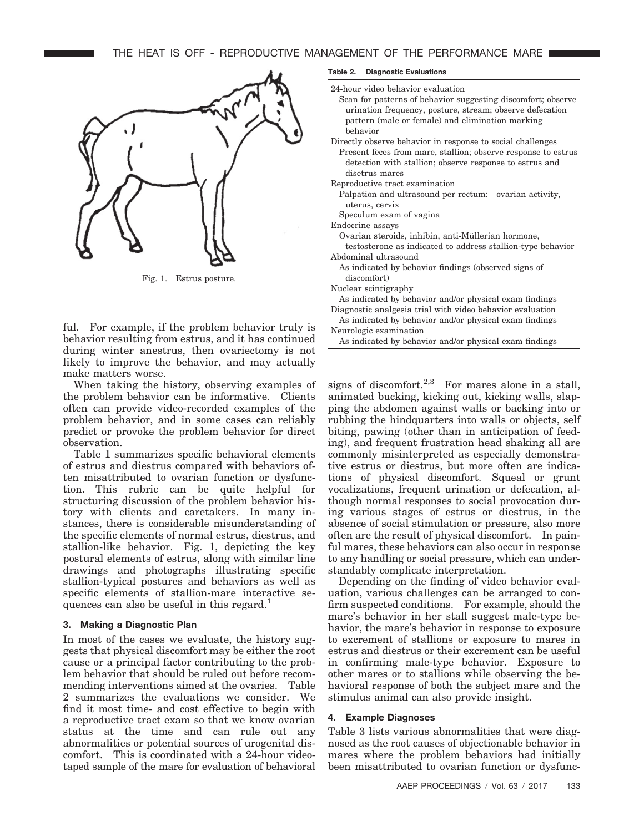

Fig. 1. Estrus posture.

ful. For example, if the problem behavior truly is behavior resulting from estrus, and it has continued during winter anestrus, then ovariectomy is not likely to improve the behavior, and may actually make matters worse.

When taking the history, observing examples of the problem behavior can be informative. Clients often can provide video-recorded examples of the problem behavior, and in some cases can reliably predict or provoke the problem behavior for direct observation.

Table 1 summarizes specific behavioral elements of estrus and diestrus compared with behaviors often misattributed to ovarian function or dysfunction. This rubric can be quite helpful for structuring discussion of the problem behavior history with clients and caretakers. In many instances, there is considerable misunderstanding of the specific elements of normal estrus, diestrus, and stallion-like behavior. Fig. 1, depicting the key postural elements of estrus, along with similar line drawings and photographs illustrating specific stallion-typical postures and behaviors as well as specific elements of stallion-mare interactive sequences can also be useful in this regard.<sup>1</sup>

# **3. Making a Diagnostic Plan**

In most of the cases we evaluate, the history suggests that physical discomfort may be either the root cause or a principal factor contributing to the problem behavior that should be ruled out before recommending interventions aimed at the ovaries. Table 2 summarizes the evaluations we consider. We find it most time- and cost effective to begin with a reproductive tract exam so that we know ovarian status at the time and can rule out any abnormalities or potential sources of urogenital discomfort. This is coordinated with a 24-hour videotaped sample of the mare for evaluation of behavioral

#### **Table 2. Diagnostic Evaluations**

24-hour video behavior evaluation

- Scan for patterns of behavior suggesting discomfort; observe urination frequency, posture, stream; observe defecation pattern (male or female) and elimination marking behavior
- Directly observe behavior in response to social challenges Present feces from mare, stallion; observe response to estrus detection with stallion; observe response to estrus and disetrus mares
- Reproductive tract examination
- Palpation and ultrasound per rectum: ovarian activity, uterus, cervix

Speculum exam of vagina

Endocrine assays

Ovarian steroids, inhibin, anti-Müllerian hormone,

- testosterone as indicated to address stallion-type behavior Abdominal ultrasound
- As indicated by behavior findings (observed signs of discomfort)
- Nuclear scintigraphy

As indicated by behavior and/or physical exam findings Diagnostic analgesia trial with video behavior evaluation

As indicated by behavior and/or physical exam findings Neurologic examination

As indicated by behavior and/or physical exam findings

signs of discomfort.<sup>2,3</sup> For mares alone in a stall, animated bucking, kicking out, kicking walls, slapping the abdomen against walls or backing into or rubbing the hindquarters into walls or objects, self biting, pawing (other than in anticipation of feeding), and frequent frustration head shaking all are commonly misinterpreted as especially demonstrative estrus or diestrus, but more often are indications of physical discomfort. Squeal or grunt vocalizations, frequent urination or defecation, although normal responses to social provocation during various stages of estrus or diestrus, in the absence of social stimulation or pressure, also more often are the result of physical discomfort. In painful mares, these behaviors can also occur in response to any handling or social pressure, which can understandably complicate interpretation.

Depending on the finding of video behavior evaluation, various challenges can be arranged to confirm suspected conditions. For example, should the mare's behavior in her stall suggest male-type behavior, the mare's behavior in response to exposure to excrement of stallions or exposure to mares in estrus and diestrus or their excrement can be useful in confirming male-type behavior. Exposure to other mares or to stallions while observing the behavioral response of both the subject mare and the stimulus animal can also provide insight.

### **4. Example Diagnoses**

Table 3 lists various abnormalities that were diagnosed as the root causes of objectionable behavior in mares where the problem behaviors had initially been misattributed to ovarian function or dysfunc-